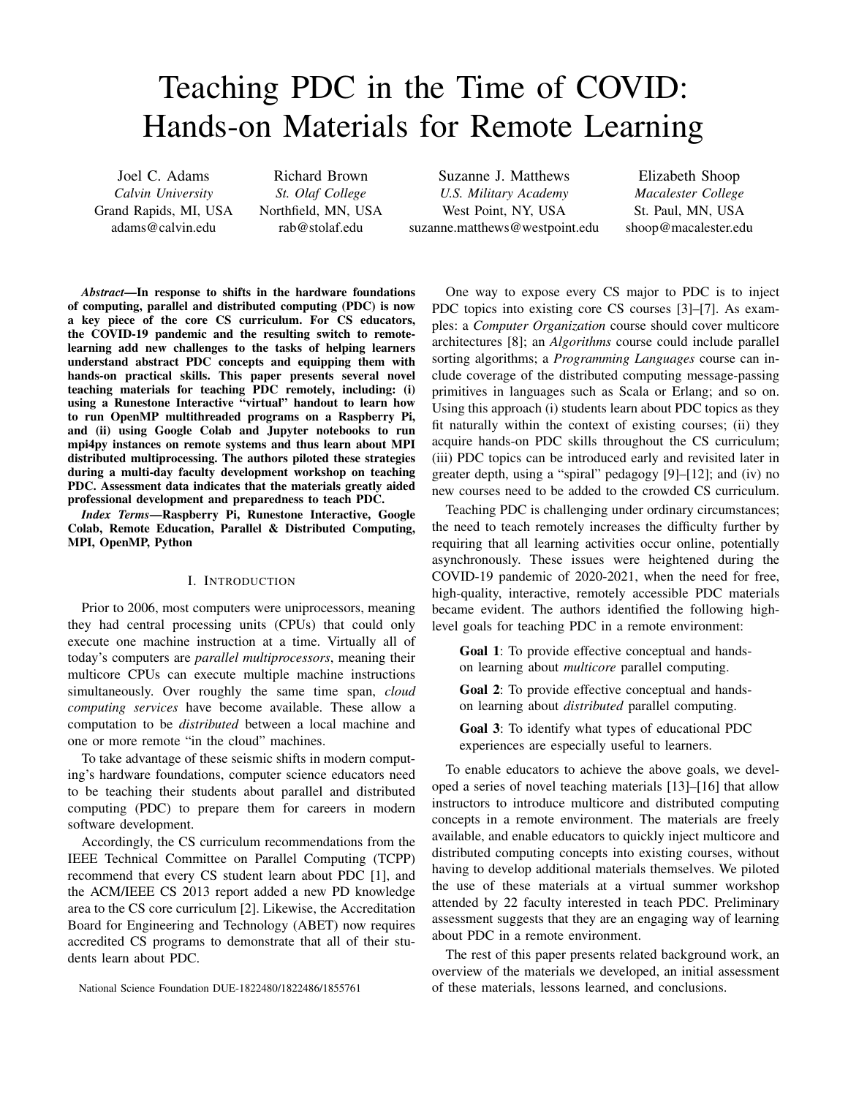# Teaching PDC in the Time of COVID: Hands-on Materials for Remote Learning

Joel C. Adams *Calvin University* Grand Rapids, MI, USA adams@calvin.edu

Richard Brown *St. Olaf College* Northfield, MN, USA rab@stolaf.edu

Suzanne J. Matthews *U.S. Military Academy* West Point, NY, USA suzanne.matthews@westpoint.edu

Elizabeth Shoop *Macalester College* St. Paul, MN, USA shoop@macalester.edu

*Abstract*—In response to shifts in the hardware foundations of computing, parallel and distributed computing (PDC) is now a key piece of the core CS curriculum. For CS educators, the COVID-19 pandemic and the resulting switch to remotelearning add new challenges to the tasks of helping learners understand abstract PDC concepts and equipping them with hands-on practical skills. This paper presents several novel teaching materials for teaching PDC remotely, including: (i) using a Runestone Interactive "virtual" handout to learn how to run OpenMP multithreaded programs on a Raspberry Pi, and (ii) using Google Colab and Jupyter notebooks to run mpi4py instances on remote systems and thus learn about MPI distributed multiprocessing. The authors piloted these strategies during a multi-day faculty development workshop on teaching PDC. Assessment data indicates that the materials greatly aided professional development and preparedness to teach PDC.

*Index Terms*—Raspberry Pi, Runestone Interactive, Google Colab, Remote Education, Parallel & Distributed Computing, MPI, OpenMP, Python

#### I. INTRODUCTION

Prior to 2006, most computers were uniprocessors, meaning they had central processing units (CPUs) that could only execute one machine instruction at a time. Virtually all of today's computers are *parallel multiprocessors*, meaning their multicore CPUs can execute multiple machine instructions simultaneously. Over roughly the same time span, *cloud computing services* have become available. These allow a computation to be *distributed* between a local machine and one or more remote "in the cloud" machines.

To take advantage of these seismic shifts in modern computing's hardware foundations, computer science educators need to be teaching their students about parallel and distributed computing (PDC) to prepare them for careers in modern software development.

Accordingly, the CS curriculum recommendations from the IEEE Technical Committee on Parallel Computing (TCPP) recommend that every CS student learn about PDC [1], and the ACM/IEEE CS 2013 report added a new PD knowledge area to the CS core curriculum [2]. Likewise, the Accreditation Board for Engineering and Technology (ABET) now requires accredited CS programs to demonstrate that all of their students learn about PDC.

National Science Foundation DUE-1822480/1822486/1855761

One way to expose every CS major to PDC is to inject PDC topics into existing core CS courses [3]–[7]. As examples: a *Computer Organization* course should cover multicore architectures [8]; an *Algorithms* course could include parallel sorting algorithms; a *Programming Languages* course can include coverage of the distributed computing message-passing primitives in languages such as Scala or Erlang; and so on. Using this approach (i) students learn about PDC topics as they fit naturally within the context of existing courses; (ii) they acquire hands-on PDC skills throughout the CS curriculum; (iii) PDC topics can be introduced early and revisited later in greater depth, using a "spiral" pedagogy [9]–[12]; and (iv) no new courses need to be added to the crowded CS curriculum.

Teaching PDC is challenging under ordinary circumstances; the need to teach remotely increases the difficulty further by requiring that all learning activities occur online, potentially asynchronously. These issues were heightened during the COVID-19 pandemic of 2020-2021, when the need for free, high-quality, interactive, remotely accessible PDC materials became evident. The authors identified the following highlevel goals for teaching PDC in a remote environment:

Goal 1: To provide effective conceptual and handson learning about *multicore* parallel computing.

Goal 2: To provide effective conceptual and handson learning about *distributed* parallel computing.

Goal 3: To identify what types of educational PDC experiences are especially useful to learners.

To enable educators to achieve the above goals, we developed a series of novel teaching materials [13]–[16] that allow instructors to introduce multicore and distributed computing concepts in a remote environment. The materials are freely available, and enable educators to quickly inject multicore and distributed computing concepts into existing courses, without having to develop additional materials themselves. We piloted the use of these materials at a virtual summer workshop attended by 22 faculty interested in teach PDC. Preliminary assessment suggests that they are an engaging way of learning about PDC in a remote environment.

The rest of this paper presents related background work, an overview of the materials we developed, an initial assessment of these materials, lessons learned, and conclusions.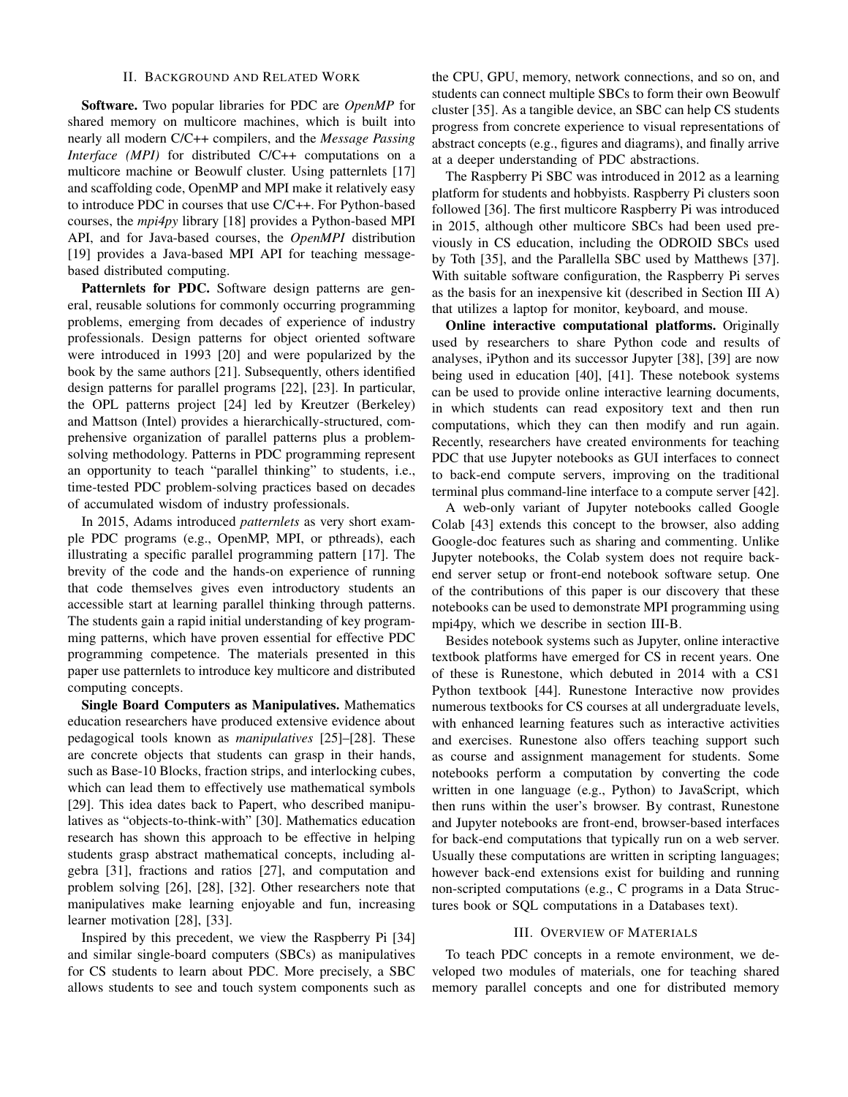## II. BACKGROUND AND RELATED WORK

Software. Two popular libraries for PDC are *OpenMP* for shared memory on multicore machines, which is built into nearly all modern C/C++ compilers, and the *Message Passing Interface (MPI)* for distributed C/C++ computations on a multicore machine or Beowulf cluster. Using patternlets [17] and scaffolding code, OpenMP and MPI make it relatively easy to introduce PDC in courses that use C/C++. For Python-based courses, the *mpi4py* library [18] provides a Python-based MPI API, and for Java-based courses, the *OpenMPI* distribution [19] provides a Java-based MPI API for teaching messagebased distributed computing.

Patternlets for PDC. Software design patterns are general, reusable solutions for commonly occurring programming problems, emerging from decades of experience of industry professionals. Design patterns for object oriented software were introduced in 1993 [20] and were popularized by the book by the same authors [21]. Subsequently, others identified design patterns for parallel programs [22], [23]. In particular, the OPL patterns project [24] led by Kreutzer (Berkeley) and Mattson (Intel) provides a hierarchically-structured, comprehensive organization of parallel patterns plus a problemsolving methodology. Patterns in PDC programming represent an opportunity to teach "parallel thinking" to students, i.e., time-tested PDC problem-solving practices based on decades of accumulated wisdom of industry professionals.

In 2015, Adams introduced *patternlets* as very short example PDC programs (e.g., OpenMP, MPI, or pthreads), each illustrating a specific parallel programming pattern [17]. The brevity of the code and the hands-on experience of running that code themselves gives even introductory students an accessible start at learning parallel thinking through patterns. The students gain a rapid initial understanding of key programming patterns, which have proven essential for effective PDC programming competence. The materials presented in this paper use patternlets to introduce key multicore and distributed computing concepts.

Single Board Computers as Manipulatives. Mathematics education researchers have produced extensive evidence about pedagogical tools known as *manipulatives* [25]–[28]. These are concrete objects that students can grasp in their hands, such as Base-10 Blocks, fraction strips, and interlocking cubes, which can lead them to effectively use mathematical symbols [29]. This idea dates back to Papert, who described manipulatives as "objects-to-think-with" [30]. Mathematics education research has shown this approach to be effective in helping students grasp abstract mathematical concepts, including algebra [31], fractions and ratios [27], and computation and problem solving [26], [28], [32]. Other researchers note that manipulatives make learning enjoyable and fun, increasing learner motivation [28], [33].

Inspired by this precedent, we view the Raspberry Pi [34] and similar single-board computers (SBCs) as manipulatives for CS students to learn about PDC. More precisely, a SBC allows students to see and touch system components such as the CPU, GPU, memory, network connections, and so on, and students can connect multiple SBCs to form their own Beowulf cluster [35]. As a tangible device, an SBC can help CS students progress from concrete experience to visual representations of abstract concepts (e.g., figures and diagrams), and finally arrive at a deeper understanding of PDC abstractions.

The Raspberry Pi SBC was introduced in 2012 as a learning platform for students and hobbyists. Raspberry Pi clusters soon followed [36]. The first multicore Raspberry Pi was introduced in 2015, although other multicore SBCs had been used previously in CS education, including the ODROID SBCs used by Toth [35], and the Parallella SBC used by Matthews [37]. With suitable software configuration, the Raspberry Pi serves as the basis for an inexpensive kit (described in Section III A) that utilizes a laptop for monitor, keyboard, and mouse.

Online interactive computational platforms. Originally used by researchers to share Python code and results of analyses, iPython and its successor Jupyter [38], [39] are now being used in education [40], [41]. These notebook systems can be used to provide online interactive learning documents, in which students can read expository text and then run computations, which they can then modify and run again. Recently, researchers have created environments for teaching PDC that use Jupyter notebooks as GUI interfaces to connect to back-end compute servers, improving on the traditional terminal plus command-line interface to a compute server [42].

A web-only variant of Jupyter notebooks called Google Colab [43] extends this concept to the browser, also adding Google-doc features such as sharing and commenting. Unlike Jupyter notebooks, the Colab system does not require backend server setup or front-end notebook software setup. One of the contributions of this paper is our discovery that these notebooks can be used to demonstrate MPI programming using mpi4py, which we describe in section III-B.

Besides notebook systems such as Jupyter, online interactive textbook platforms have emerged for CS in recent years. One of these is Runestone, which debuted in 2014 with a CS1 Python textbook [44]. Runestone Interactive now provides numerous textbooks for CS courses at all undergraduate levels, with enhanced learning features such as interactive activities and exercises. Runestone also offers teaching support such as course and assignment management for students. Some notebooks perform a computation by converting the code written in one language (e.g., Python) to JavaScript, which then runs within the user's browser. By contrast, Runestone and Jupyter notebooks are front-end, browser-based interfaces for back-end computations that typically run on a web server. Usually these computations are written in scripting languages; however back-end extensions exist for building and running non-scripted computations (e.g., C programs in a Data Structures book or SQL computations in a Databases text).

## III. OVERVIEW OF MATERIALS

To teach PDC concepts in a remote environment, we developed two modules of materials, one for teaching shared memory parallel concepts and one for distributed memory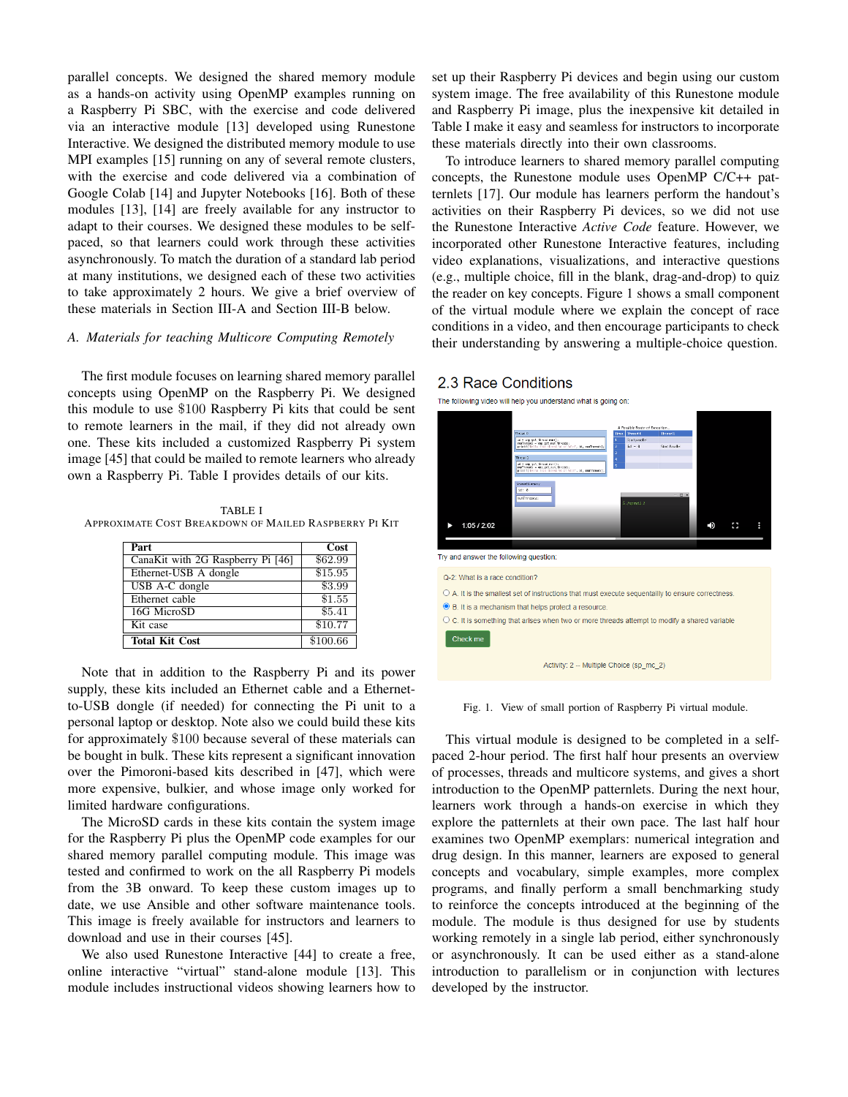parallel concepts. We designed the shared memory module as a hands-on activity using OpenMP examples running on a Raspberry Pi SBC, with the exercise and code delivered via an interactive module [13] developed using Runestone Interactive. We designed the distributed memory module to use MPI examples [15] running on any of several remote clusters, with the exercise and code delivered via a combination of Google Colab [14] and Jupyter Notebooks [16]. Both of these modules [13], [14] are freely available for any instructor to adapt to their courses. We designed these modules to be selfpaced, so that learners could work through these activities asynchronously. To match the duration of a standard lab period at many institutions, we designed each of these two activities to take approximately 2 hours. We give a brief overview of these materials in Section III-A and Section III-B below.

# *A. Materials for teaching Multicore Computing Remotely*

The first module focuses on learning shared memory parallel concepts using OpenMP on the Raspberry Pi. We designed this module to use \$100 Raspberry Pi kits that could be sent to remote learners in the mail, if they did not already own one. These kits included a customized Raspberry Pi system image [45] that could be mailed to remote learners who already own a Raspberry Pi. Table I provides details of our kits.

TABLE I APPROXIMATE COST BREAKDOWN OF MAILED RASPBERRY PI KIT

| Part                              | Cost     |
|-----------------------------------|----------|
| CanaKit with 2G Raspberry Pi [46] | \$62.99  |
| Ethernet-USB A dongle             | \$15.95  |
| USB A-C dongle                    | \$3.99   |
| Ethernet cable                    | \$1.55   |
| 16G MicroSD                       | \$5.41   |
| Kit case                          | \$10.77  |
| <b>Total Kit Cost</b>             | \$100.66 |

Note that in addition to the Raspberry Pi and its power supply, these kits included an Ethernet cable and a Ethernetto-USB dongle (if needed) for connecting the Pi unit to a personal laptop or desktop. Note also we could build these kits for approximately \$100 because several of these materials can be bought in bulk. These kits represent a significant innovation over the Pimoroni-based kits described in [47], which were more expensive, bulkier, and whose image only worked for limited hardware configurations.

The MicroSD cards in these kits contain the system image for the Raspberry Pi plus the OpenMP code examples for our shared memory parallel computing module. This image was tested and confirmed to work on the all Raspberry Pi models from the 3B onward. To keep these custom images up to date, we use Ansible and other software maintenance tools. This image is freely available for instructors and learners to download and use in their courses [45].

We also used Runestone Interactive [44] to create a free, online interactive "virtual" stand-alone module [13]. This module includes instructional videos showing learners how to set up their Raspberry Pi devices and begin using our custom system image. The free availability of this Runestone module and Raspberry Pi image, plus the inexpensive kit detailed in Table I make it easy and seamless for instructors to incorporate these materials directly into their own classrooms.

To introduce learners to shared memory parallel computing concepts, the Runestone module uses OpenMP C/C++ patternlets [17]. Our module has learners perform the handout's activities on their Raspberry Pi devices, so we did not use the Runestone Interactive *Active Code* feature. However, we incorporated other Runestone Interactive features, including video explanations, visualizations, and interactive questions (e.g., multiple choice, fill in the blank, drag-and-drop) to quiz the reader on key concepts. Figure 1 shows a small component of the virtual module where we explain the concept of race conditions in a video, and then encourage participants to check their understanding by answering a multiple-choice question.

# 2.3 Race Conditions

The following video will help you understand what is going on



Fig. 1. View of small portion of Raspberry Pi virtual module.

This virtual module is designed to be completed in a selfpaced 2-hour period. The first half hour presents an overview of processes, threads and multicore systems, and gives a short introduction to the OpenMP patternlets. During the next hour, learners work through a hands-on exercise in which they explore the patternlets at their own pace. The last half hour examines two OpenMP exemplars: numerical integration and drug design. In this manner, learners are exposed to general concepts and vocabulary, simple examples, more complex programs, and finally perform a small benchmarking study to reinforce the concepts introduced at the beginning of the module. The module is thus designed for use by students working remotely in a single lab period, either synchronously or asynchronously. It can be used either as a stand-alone introduction to parallelism or in conjunction with lectures developed by the instructor.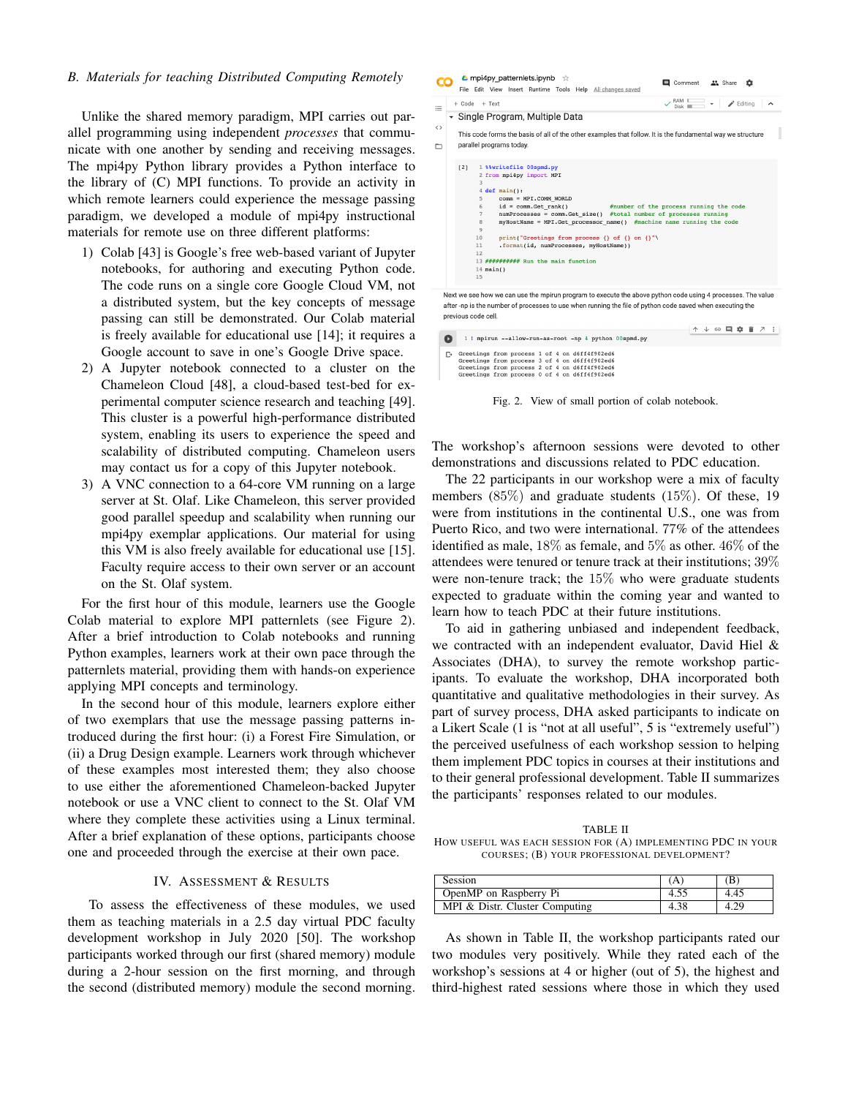# *B. Materials for teaching Distributed Computing Remotely*

Unlike the shared memory paradigm, MPI carries out parallel programming using independent *processes* that communicate with one another by sending and receiving messages. The mpi4py Python library provides a Python interface to the library of (C) MPI functions. To provide an activity in which remote learners could experience the message passing paradigm, we developed a module of mpi4py instructional materials for remote use on three different platforms:

- 1) Colab [43] is Google's free web-based variant of Jupyter notebooks, for authoring and executing Python code. The code runs on a single core Google Cloud VM, not a distributed system, but the key concepts of message passing can still be demonstrated. Our Colab material is freely available for educational use [14]; it requires a Google account to save in one's Google Drive space.
- 2) A Jupyter notebook connected to a cluster on the Chameleon Cloud [48], a cloud-based test-bed for experimental computer science research and teaching [49]. This cluster is a powerful high-performance distributed system, enabling its users to experience the speed and scalability of distributed computing. Chameleon users may contact us for a copy of this Jupyter notebook.
- 3) A VNC connection to a 64-core VM running on a large server at St. Olaf. Like Chameleon, this server provided good parallel speedup and scalability when running our mpi4py exemplar applications. Our material for using this VM is also freely available for educational use [15]. Faculty require access to their own server or an account on the St. Olaf system.

For the first hour of this module, learners use the Google Colab material to explore MPI patternlets (see Figure 2). After a brief introduction to Colab notebooks and running Python examples, learners work at their own pace through the patternlets material, providing them with hands-on experience applying MPI concepts and terminology.

In the second hour of this module, learners explore either of two exemplars that use the message passing patterns introduced during the first hour: (i) a Forest Fire Simulation, or (ii) a Drug Design example. Learners work through whichever of these examples most interested them; they also choose to use either the aforementioned Chameleon-backed Jupyter notebook or use a VNC client to connect to the St. Olaf VM where they complete these activities using a Linux terminal. After a brief explanation of these options, participants choose one and proceeded through the exercise at their own pace.

# IV. ASSESSMENT & RESULTS

To assess the effectiveness of these modules, we used them as teaching materials in a 2.5 day virtual PDC faculty development workshop in July 2020 [50]. The workshop participants worked through our first (shared memory) module during a 2-hour session on the first morning, and through the second (distributed memory) module the second morning.

| RAM L<br>Disk<br>$\blacktriangleright$ Editing<br>+ Code + Text                                                                                    |
|----------------------------------------------------------------------------------------------------------------------------------------------------|
| Single Program, Multiple Data                                                                                                                      |
|                                                                                                                                                    |
| This code forms the basis of all of the other examples that follow. It is the fundamental way we structure                                         |
| parallel programs today.                                                                                                                           |
|                                                                                                                                                    |
| 1 %%writefile 00spmd.py<br>[2]                                                                                                                     |
| 2 from mpi4py import MPI                                                                                                                           |
| 3                                                                                                                                                  |
| $4 \text{ def } \text{main}$ ():                                                                                                                   |
| 5<br>comm = MPI.COMM WORLD                                                                                                                         |
| $id = comm.Get rank()$<br>#number of the process running the code<br>6<br>$numProcesses = comm.get size()$ #total number of processes running<br>7 |
| myHostName = MPI.Get processor name() #machine name running the code<br>8                                                                          |
| 9                                                                                                                                                  |
| 10<br>print("Greetings from process {} of {} on {}"\                                                                                               |
| .format(id, numProcesses, myHostName))<br>11                                                                                                       |
| 12                                                                                                                                                 |
| 13 ########## Run the main function                                                                                                                |
| $14$ main()                                                                                                                                        |
| 15                                                                                                                                                 |
|                                                                                                                                                    |

|                                                                                                                                                                                                  |  |  |  | ↑ ↓ ⊕ 目 ✿ 盲 ↗ : |  |
|--------------------------------------------------------------------------------------------------------------------------------------------------------------------------------------------------|--|--|--|-----------------|--|
| 1 ! mpirun --allow-run-as-root -np 4 python 00spmd.py                                                                                                                                            |  |  |  |                 |  |
| Greetings from process 1 of 4 on d6ff4f902ed6<br>Greetings from process 3 of 4 on d6ff4f902ed6<br>Greetings from process 2 of 4 on d6ff4f902ed6<br>Greetings from process 0 of 4 on d6ff4f902ed6 |  |  |  |                 |  |

Fig. 2. View of small portion of colab notebook.

The workshop's afternoon sessions were devoted to other demonstrations and discussions related to PDC education.

The 22 participants in our workshop were a mix of faculty members (85%) and graduate students (15%). Of these, 19 were from institutions in the continental U.S., one was from Puerto Rico, and two were international. 77% of the attendees identified as male, 18% as female, and 5% as other. 46% of the attendees were tenured or tenure track at their institutions; 39% were non-tenure track; the 15% who were graduate students expected to graduate within the coming year and wanted to learn how to teach PDC at their future institutions.

To aid in gathering unbiased and independent feedback, we contracted with an independent evaluator, David Hiel & Associates (DHA), to survey the remote workshop participants. To evaluate the workshop, DHA incorporated both quantitative and qualitative methodologies in their survey. As part of survey process, DHA asked participants to indicate on a Likert Scale (1 is "not at all useful", 5 is "extremely useful") the perceived usefulness of each workshop session to helping them implement PDC topics in courses at their institutions and to their general professional development. Table II summarizes the participants' responses related to our modules.

TABLE II HOW USEFUL WAS EACH SESSION FOR (A) IMPLEMENTING PDC IN YOUR COURSES; (B) YOUR PROFESSIONAL DEVELOPMENT?

| Session                        |      | (B`  |
|--------------------------------|------|------|
| OpenMP on Raspberry Pi         | 4.55 | 4.45 |
| MPI & Distr. Cluster Computing | 4.38 | 4.29 |

As shown in Table II, the workshop participants rated our two modules very positively. While they rated each of the workshop's sessions at 4 or higher (out of 5), the highest and third-highest rated sessions where those in which they used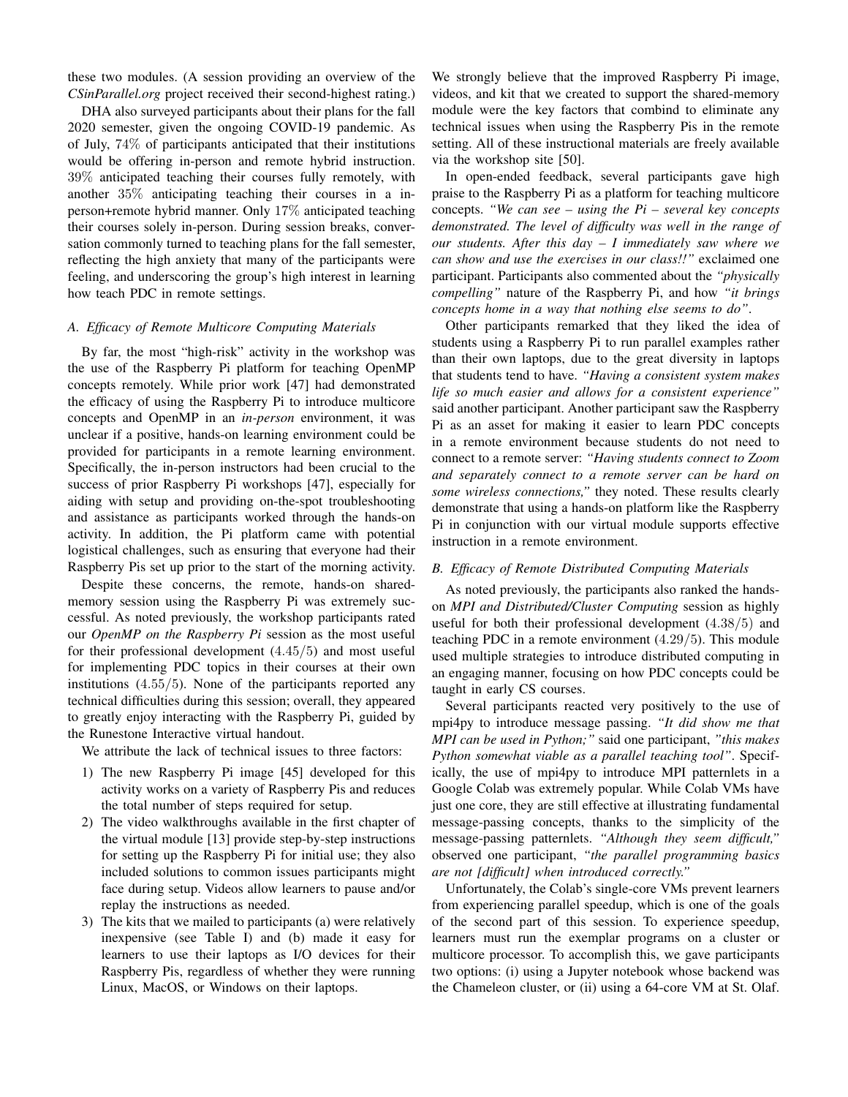these two modules. (A session providing an overview of the *CSinParallel.org* project received their second-highest rating.)

DHA also surveyed participants about their plans for the fall 2020 semester, given the ongoing COVID-19 pandemic. As of July, 74% of participants anticipated that their institutions would be offering in-person and remote hybrid instruction. 39% anticipated teaching their courses fully remotely, with another 35% anticipating teaching their courses in a inperson+remote hybrid manner. Only 17% anticipated teaching their courses solely in-person. During session breaks, conversation commonly turned to teaching plans for the fall semester, reflecting the high anxiety that many of the participants were feeling, and underscoring the group's high interest in learning how teach PDC in remote settings.

# *A. Efficacy of Remote Multicore Computing Materials*

By far, the most "high-risk" activity in the workshop was the use of the Raspberry Pi platform for teaching OpenMP concepts remotely. While prior work [47] had demonstrated the efficacy of using the Raspberry Pi to introduce multicore concepts and OpenMP in an *in-person* environment, it was unclear if a positive, hands-on learning environment could be provided for participants in a remote learning environment. Specifically, the in-person instructors had been crucial to the success of prior Raspberry Pi workshops [47], especially for aiding with setup and providing on-the-spot troubleshooting and assistance as participants worked through the hands-on activity. In addition, the Pi platform came with potential logistical challenges, such as ensuring that everyone had their Raspberry Pis set up prior to the start of the morning activity.

Despite these concerns, the remote, hands-on sharedmemory session using the Raspberry Pi was extremely successful. As noted previously, the workshop participants rated our *OpenMP on the Raspberry Pi* session as the most useful for their professional development (4.45/5) and most useful for implementing PDC topics in their courses at their own institutions (4.55/5). None of the participants reported any technical difficulties during this session; overall, they appeared to greatly enjoy interacting with the Raspberry Pi, guided by the Runestone Interactive virtual handout.

We attribute the lack of technical issues to three factors:

- 1) The new Raspberry Pi image [45] developed for this activity works on a variety of Raspberry Pis and reduces the total number of steps required for setup.
- 2) The video walkthroughs available in the first chapter of the virtual module [13] provide step-by-step instructions for setting up the Raspberry Pi for initial use; they also included solutions to common issues participants might face during setup. Videos allow learners to pause and/or replay the instructions as needed.
- 3) The kits that we mailed to participants (a) were relatively inexpensive (see Table I) and (b) made it easy for learners to use their laptops as I/O devices for their Raspberry Pis, regardless of whether they were running Linux, MacOS, or Windows on their laptops.

We strongly believe that the improved Raspberry Pi image, videos, and kit that we created to support the shared-memory module were the key factors that combind to eliminate any technical issues when using the Raspberry Pis in the remote setting. All of these instructional materials are freely available via the workshop site [50].

In open-ended feedback, several participants gave high praise to the Raspberry Pi as a platform for teaching multicore concepts. *"We can see – using the Pi – several key concepts demonstrated. The level of difficulty was well in the range of our students. After this day – I immediately saw where we can show and use the exercises in our class!!"* exclaimed one participant. Participants also commented about the *"physically compelling"* nature of the Raspberry Pi, and how *"it brings concepts home in a way that nothing else seems to do"*.

Other participants remarked that they liked the idea of students using a Raspberry Pi to run parallel examples rather than their own laptops, due to the great diversity in laptops that students tend to have. *"Having a consistent system makes life so much easier and allows for a consistent experience"* said another participant. Another participant saw the Raspberry Pi as an asset for making it easier to learn PDC concepts in a remote environment because students do not need to connect to a remote server: *"Having students connect to Zoom and separately connect to a remote server can be hard on some wireless connections,"* they noted. These results clearly demonstrate that using a hands-on platform like the Raspberry Pi in conjunction with our virtual module supports effective instruction in a remote environment.

## *B. Efficacy of Remote Distributed Computing Materials*

As noted previously, the participants also ranked the handson *MPI and Distributed/Cluster Computing* session as highly useful for both their professional development (4.38/5) and teaching PDC in a remote environment (4.29/5). This module used multiple strategies to introduce distributed computing in an engaging manner, focusing on how PDC concepts could be taught in early CS courses.

Several participants reacted very positively to the use of mpi4py to introduce message passing. *"It did show me that MPI can be used in Python;"* said one participant, *"this makes Python somewhat viable as a parallel teaching tool"*. Specifically, the use of mpi4py to introduce MPI patternlets in a Google Colab was extremely popular. While Colab VMs have just one core, they are still effective at illustrating fundamental message-passing concepts, thanks to the simplicity of the message-passing patternlets. *"Although they seem difficult,"* observed one participant, *"the parallel programming basics are not [difficult] when introduced correctly."*

Unfortunately, the Colab's single-core VMs prevent learners from experiencing parallel speedup, which is one of the goals of the second part of this session. To experience speedup, learners must run the exemplar programs on a cluster or multicore processor. To accomplish this, we gave participants two options: (i) using a Jupyter notebook whose backend was the Chameleon cluster, or (ii) using a 64-core VM at St. Olaf.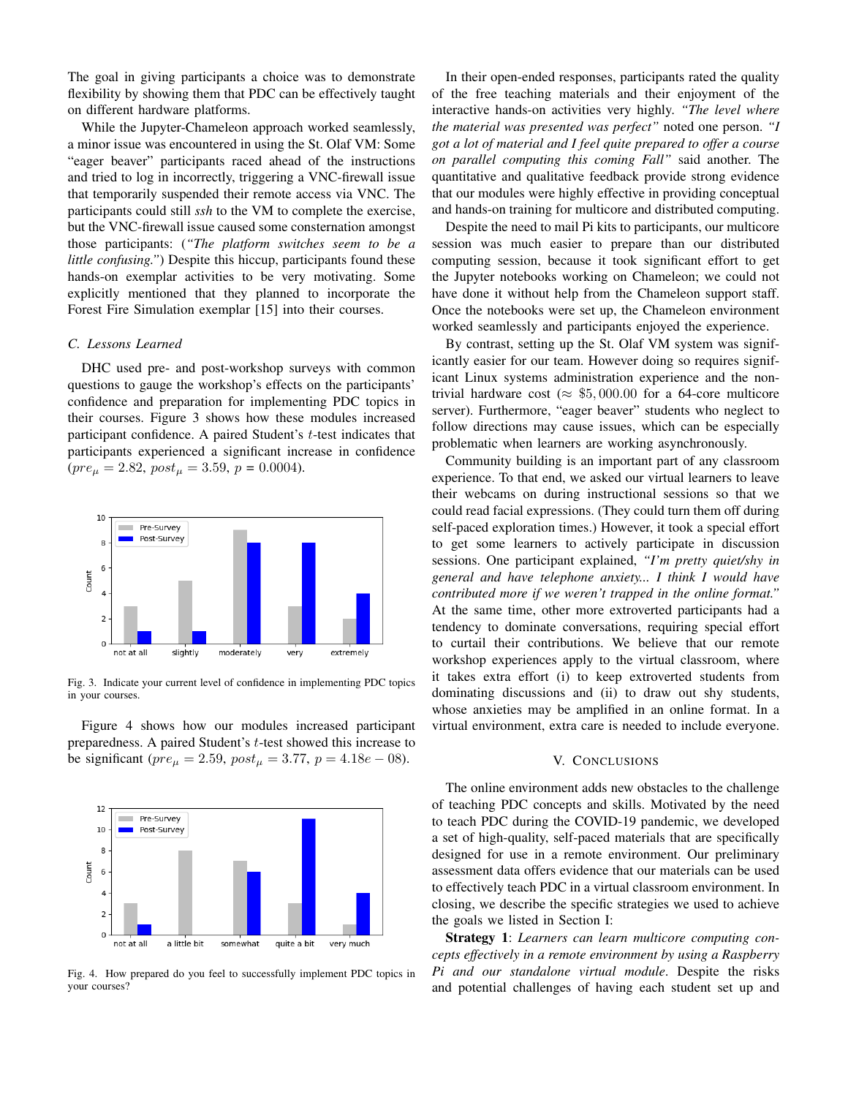The goal in giving participants a choice was to demonstrate flexibility by showing them that PDC can be effectively taught on different hardware platforms.

While the Jupyter-Chameleon approach worked seamlessly, a minor issue was encountered in using the St. Olaf VM: Some "eager beaver" participants raced ahead of the instructions and tried to log in incorrectly, triggering a VNC-firewall issue that temporarily suspended their remote access via VNC. The participants could still *ssh* to the VM to complete the exercise, but the VNC-firewall issue caused some consternation amongst those participants: (*"The platform switches seem to be a little confusing."*) Despite this hiccup, participants found these hands-on exemplar activities to be very motivating. Some explicitly mentioned that they planned to incorporate the Forest Fire Simulation exemplar [15] into their courses.

## *C. Lessons Learned*

DHC used pre- and post-workshop surveys with common questions to gauge the workshop's effects on the participants' confidence and preparation for implementing PDC topics in their courses. Figure 3 shows how these modules increased participant confidence. A paired Student's  $t$ -test indicates that participants experienced a significant increase in confidence  $(\text{pre}_{\mu} = 2.82, \text{post}_{\mu} = 3.59, \text{p} = 0.0004).$ 



Fig. 3. Indicate your current level of confidence in implementing PDC topics in your courses.

Figure 4 shows how our modules increased participant preparedness. A paired Student's t-test showed this increase to be significant ( $pre_{\mu} = 2.59$ ,  $post_{\mu} = 3.77$ ,  $p = 4.18e - 08$ ).



Fig. 4. How prepared do you feel to successfully implement PDC topics in your courses?

In their open-ended responses, participants rated the quality of the free teaching materials and their enjoyment of the interactive hands-on activities very highly. *"The level where the material was presented was perfect"* noted one person. *"I got a lot of material and I feel quite prepared to offer a course on parallel computing this coming Fall"* said another. The quantitative and qualitative feedback provide strong evidence that our modules were highly effective in providing conceptual and hands-on training for multicore and distributed computing.

Despite the need to mail Pi kits to participants, our multicore session was much easier to prepare than our distributed computing session, because it took significant effort to get the Jupyter notebooks working on Chameleon; we could not have done it without help from the Chameleon support staff. Once the notebooks were set up, the Chameleon environment worked seamlessly and participants enjoyed the experience.

By contrast, setting up the St. Olaf VM system was significantly easier for our team. However doing so requires significant Linux systems administration experience and the nontrivial hardware cost ( $\approx$  \$5,000.00 for a 64-core multicore server). Furthermore, "eager beaver" students who neglect to follow directions may cause issues, which can be especially problematic when learners are working asynchronously.

Community building is an important part of any classroom experience. To that end, we asked our virtual learners to leave their webcams on during instructional sessions so that we could read facial expressions. (They could turn them off during self-paced exploration times.) However, it took a special effort to get some learners to actively participate in discussion sessions. One participant explained, *"I'm pretty quiet/shy in general and have telephone anxiety... I think I would have contributed more if we weren't trapped in the online format."* At the same time, other more extroverted participants had a tendency to dominate conversations, requiring special effort to curtail their contributions. We believe that our remote workshop experiences apply to the virtual classroom, where it takes extra effort (i) to keep extroverted students from dominating discussions and (ii) to draw out shy students, whose anxieties may be amplified in an online format. In a virtual environment, extra care is needed to include everyone.

#### V. CONCLUSIONS

The online environment adds new obstacles to the challenge of teaching PDC concepts and skills. Motivated by the need to teach PDC during the COVID-19 pandemic, we developed a set of high-quality, self-paced materials that are specifically designed for use in a remote environment. Our preliminary assessment data offers evidence that our materials can be used to effectively teach PDC in a virtual classroom environment. In closing, we describe the specific strategies we used to achieve the goals we listed in Section I:

Strategy 1: *Learners can learn multicore computing concepts effectively in a remote environment by using a Raspberry Pi and our standalone virtual module*. Despite the risks and potential challenges of having each student set up and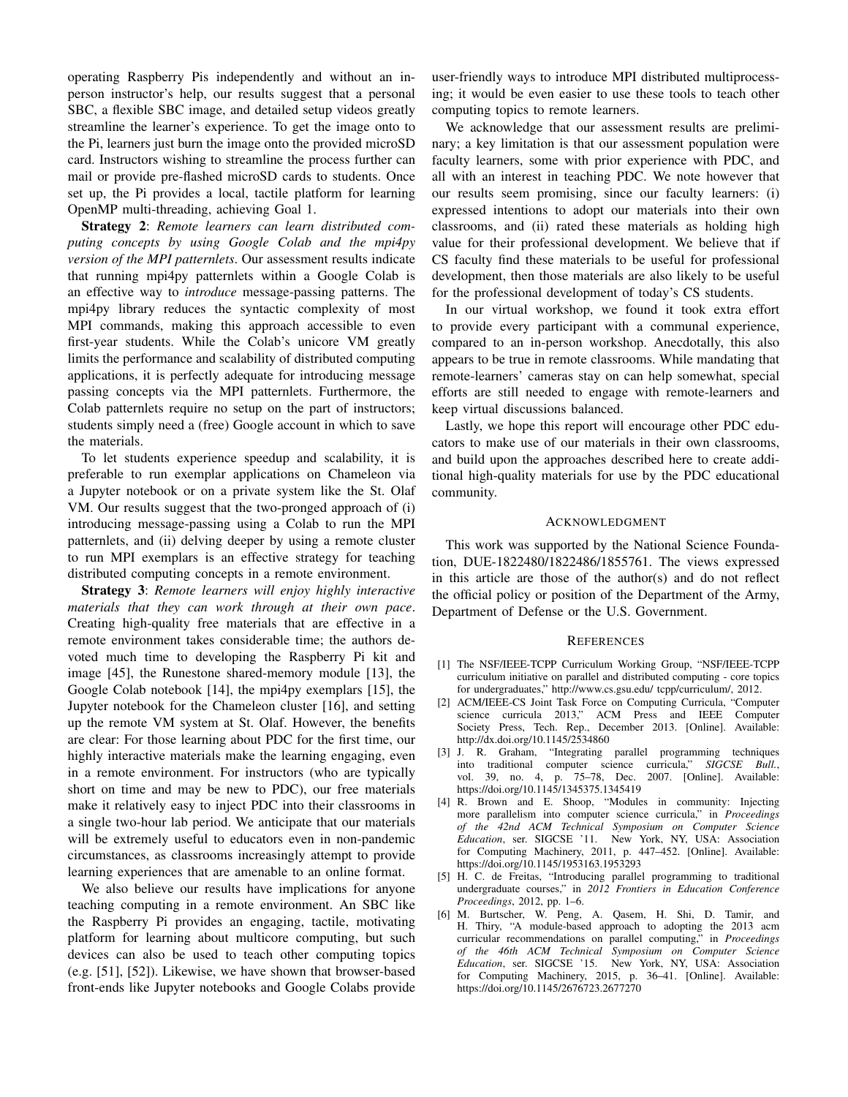operating Raspberry Pis independently and without an inperson instructor's help, our results suggest that a personal SBC, a flexible SBC image, and detailed setup videos greatly streamline the learner's experience. To get the image onto to the Pi, learners just burn the image onto the provided microSD card. Instructors wishing to streamline the process further can mail or provide pre-flashed microSD cards to students. Once set up, the Pi provides a local, tactile platform for learning OpenMP multi-threading, achieving Goal 1.

Strategy 2: *Remote learners can learn distributed computing concepts by using Google Colab and the mpi4py version of the MPI patternlets*. Our assessment results indicate that running mpi4py patternlets within a Google Colab is an effective way to *introduce* message-passing patterns. The mpi4py library reduces the syntactic complexity of most MPI commands, making this approach accessible to even first-year students. While the Colab's unicore VM greatly limits the performance and scalability of distributed computing applications, it is perfectly adequate for introducing message passing concepts via the MPI patternlets. Furthermore, the Colab patternlets require no setup on the part of instructors; students simply need a (free) Google account in which to save the materials.

To let students experience speedup and scalability, it is preferable to run exemplar applications on Chameleon via a Jupyter notebook or on a private system like the St. Olaf VM. Our results suggest that the two-pronged approach of (i) introducing message-passing using a Colab to run the MPI patternlets, and (ii) delving deeper by using a remote cluster to run MPI exemplars is an effective strategy for teaching distributed computing concepts in a remote environment.

Strategy 3: *Remote learners will enjoy highly interactive materials that they can work through at their own pace*. Creating high-quality free materials that are effective in a remote environment takes considerable time; the authors devoted much time to developing the Raspberry Pi kit and image [45], the Runestone shared-memory module [13], the Google Colab notebook [14], the mpi4py exemplars [15], the Jupyter notebook for the Chameleon cluster [16], and setting up the remote VM system at St. Olaf. However, the benefits are clear: For those learning about PDC for the first time, our highly interactive materials make the learning engaging, even in a remote environment. For instructors (who are typically short on time and may be new to PDC), our free materials make it relatively easy to inject PDC into their classrooms in a single two-hour lab period. We anticipate that our materials will be extremely useful to educators even in non-pandemic circumstances, as classrooms increasingly attempt to provide learning experiences that are amenable to an online format.

We also believe our results have implications for anyone teaching computing in a remote environment. An SBC like the Raspberry Pi provides an engaging, tactile, motivating platform for learning about multicore computing, but such devices can also be used to teach other computing topics (e.g. [51], [52]). Likewise, we have shown that browser-based front-ends like Jupyter notebooks and Google Colabs provide user-friendly ways to introduce MPI distributed multiprocessing; it would be even easier to use these tools to teach other computing topics to remote learners.

We acknowledge that our assessment results are preliminary; a key limitation is that our assessment population were faculty learners, some with prior experience with PDC, and all with an interest in teaching PDC. We note however that our results seem promising, since our faculty learners: (i) expressed intentions to adopt our materials into their own classrooms, and (ii) rated these materials as holding high value for their professional development. We believe that if CS faculty find these materials to be useful for professional development, then those materials are also likely to be useful for the professional development of today's CS students.

In our virtual workshop, we found it took extra effort to provide every participant with a communal experience, compared to an in-person workshop. Anecdotally, this also appears to be true in remote classrooms. While mandating that remote-learners' cameras stay on can help somewhat, special efforts are still needed to engage with remote-learners and keep virtual discussions balanced.

Lastly, we hope this report will encourage other PDC educators to make use of our materials in their own classrooms, and build upon the approaches described here to create additional high-quality materials for use by the PDC educational community.

#### ACKNOWLEDGMENT

This work was supported by the National Science Foundation, DUE-1822480/1822486/1855761. The views expressed in this article are those of the author(s) and do not reflect the official policy or position of the Department of the Army, Department of Defense or the U.S. Government.

#### **REFERENCES**

- [1] The NSF/IEEE-TCPP Curriculum Working Group, "NSF/IEEE-TCPP curriculum initiative on parallel and distributed computing - core topics for undergraduates," http://www.cs.gsu.edu/ tcpp/curriculum/, 2012.
- [2] ACM/IEEE-CS Joint Task Force on Computing Curricula, "Computer science curricula 2013," ACM Press and IEEE Computer Society Press, Tech. Rep., December 2013. [Online]. Available: http://dx.doi.org/10.1145/2534860
- [3] J. R. Graham, "Integrating parallel programming techniques into traditional computer science curricula," *SIGCSE Bull.*, vol. 39, no. 4, p. 75–78, Dec. 2007. [Online]. Available: https://doi.org/10.1145/1345375.1345419
- [4] R. Brown and E. Shoop, "Modules in community: Injecting more parallelism into computer science curricula," in *Proceedings of the 42nd ACM Technical Symposium on Computer Science Education*, ser. SIGCSE '11. New York, NY, USA: Association for Computing Machinery, 2011, p. 447–452. [Online]. Available: https://doi.org/10.1145/1953163.1953293
- [5] H. C. de Freitas, "Introducing parallel programming to traditional undergraduate courses," in *2012 Frontiers in Education Conference Proceedings*, 2012, pp. 1–6.
- [6] M. Burtscher, W. Peng, A. Qasem, H. Shi, D. Tamir, and H. Thiry, "A module-based approach to adopting the 2013 acm curricular recommendations on parallel computing," in *Proceedings of the 46th ACM Technical Symposium on Computer Science Education*, ser. SIGCSE '15. New York, NY, USA: Association for Computing Machinery, 2015, p. 36–41. [Online]. Available: https://doi.org/10.1145/2676723.2677270